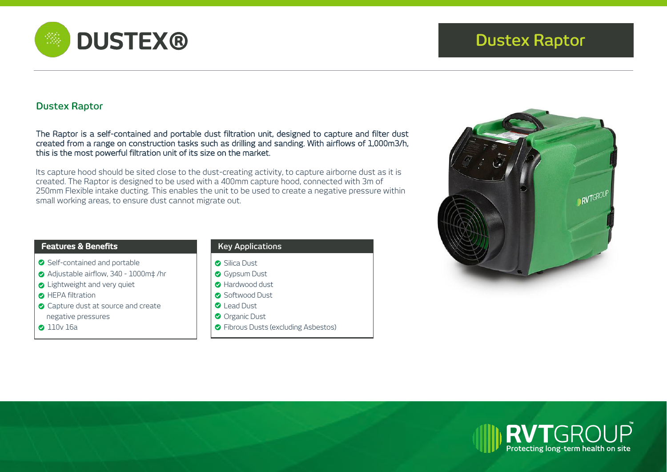

# **Dustex Raptor**

The Raptor is a self-contained and portable dust filtration unit, designed to capture and filter dust created from a range on construction tasks such as drilling and sanding. With airflows of 1,000m3/h, this is the most powerful filtration unit of its size on the market.

Its capture hood should be sited close to the dust-creating activity, to capture airborne dust as it is created. The Raptor is designed to be used with a 400mm capture hood, connected with 3m of 250mm Flexible intake ducting. This enables the unit to be used to create a negative pressure within small working areas, to ensure dust cannot migrate out.

### **Features & Benefits**

- Self-contained and portable
- Adjustable airflow, 340 1000m‡ /hr
- **C** Lightweight and very quiet
- **B** HEPA filtration
- **C** Capture dust at source and create negative pressures
- **2** 110v 16a

# **Key Applications**

- **Silica Dust**
- **Gypsum Dust**
- **B** Hardwood dust
- **C** Softwood Dust
- **O** Lead Dust
- Organic Dust
- **•** Fibrous Dusts (excluding Asbestos)